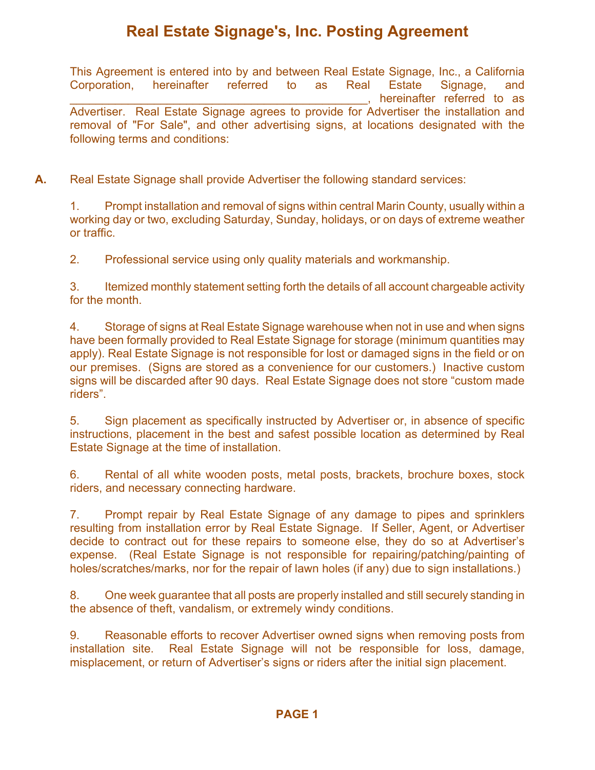## **Real Estate Signage's, Inc. Posting Agreement**

This Agreement is entered into by and between Real Estate Signage, Inc., a California Corporation, hereinafter referred to as Real Estate Signage, and hereinafter referred to as Advertiser. Real Estate Signage agrees to provide for Advertiser the installation and removal of "For Sale", and other advertising signs, at locations designated with the following terms and conditions:

**A.** Real Estate Signage shall provide Advertiser the following standard services:

1. Prompt installation and removal of signs within central Marin County, usually within a working day or two, excluding Saturday, Sunday, holidays, or on days of extreme weather or traffic.

2. Professional service using only quality materials and workmanship.

3. Itemized monthly statement setting forth the details of all account chargeable activity for the month.

4. Storage of signs at Real Estate Signage warehouse when not in use and when signs have been formally provided to Real Estate Signage for storage (minimum quantities may apply). Real Estate Signage is not responsible for lost or damaged signs in the field or on our premises. (Signs are stored as a convenience for our customers.) Inactive custom signs will be discarded after 90 days. Real Estate Signage does not store "custom made riders".

5. Sign placement as specifically instructed by Advertiser or, in absence of specific instructions, placement in the best and safest possible location as determined by Real Estate Signage at the time of installation.

6. Rental of all white wooden posts, metal posts, brackets, brochure boxes, stock riders, and necessary connecting hardware.

7. Prompt repair by Real Estate Signage of any damage to pipes and sprinklers resulting from installation error by Real Estate Signage. If Seller, Agent, or Advertiser decide to contract out for these repairs to someone else, they do so at Advertiser's expense. (Real Estate Signage is not responsible for repairing/patching/painting of holes/scratches/marks, nor for the repair of lawn holes (if any) due to sign installations.)

8. One week guarantee that all posts are properly installed and still securely standing in the absence of theft, vandalism, or extremely windy conditions.

9. Reasonable efforts to recover Advertiser owned signs when removing posts from installation site. Real Estate Signage will not be responsible for loss, damage, misplacement, or return of Advertiser's signs or riders after the initial sign placement.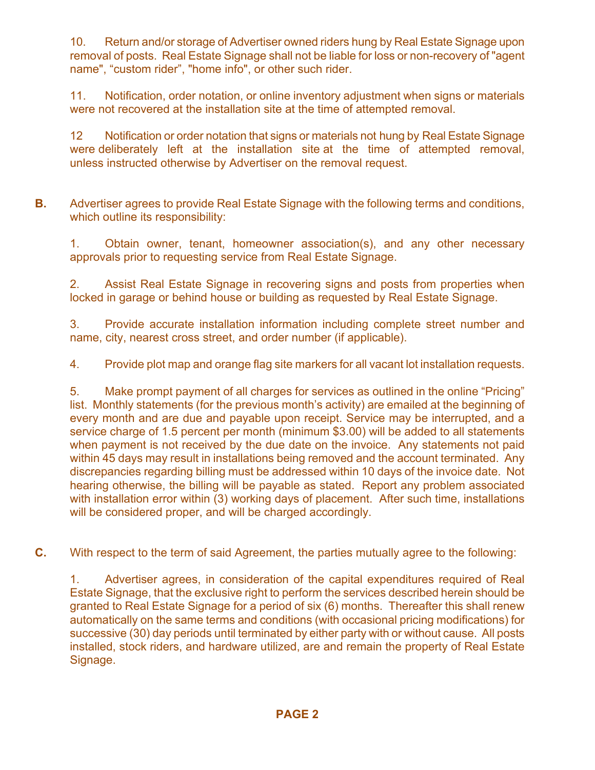10. Return and/or storage of Advertiser owned riders hung by Real Estate Signage upon removal of posts. Real Estate Signage shall not be liable for loss or non-recovery of "agent name", "custom rider", "home info", or other such rider.

11. Notification, order notation, or online inventory adjustment when signs or materials were not recovered at the installation site at the time of attempted removal.

12 Notification or order notation that signs or materials not hung by Real Estate Signage were deliberately left at the installation site at the time of attempted removal, unless instructed otherwise by Advertiser on the removal request.

**B.** Advertiser agrees to provide Real Estate Signage with the following terms and conditions, which outline its responsibility:

1. Obtain owner, tenant, homeowner association(s), and any other necessary approvals prior to requesting service from Real Estate Signage.

2. Assist Real Estate Signage in recovering signs and posts from properties when locked in garage or behind house or building as requested by Real Estate Signage.

3. Provide accurate installation information including complete street number and name, city, nearest cross street, and order number (if applicable).

4. Provide plot map and orange flag site markers for all vacant lot installation requests.

5. Make prompt payment of all charges for services as outlined in the online "Pricing" list. Monthly statements (for the previous month's activity) are emailed at the beginning of every month and are due and payable upon receipt. Service may be interrupted, and a service charge of 1.5 percent per month (minimum \$3.00) will be added to all statements when payment is not received by the due date on the invoice. Any statements not paid within 45 days may result in installations being removed and the account terminated. Any discrepancies regarding billing must be addressed within 10 days of the invoice date. Not hearing otherwise, the billing will be payable as stated. Report any problem associated with installation error within (3) working days of placement. After such time, installations will be considered proper, and will be charged accordingly.

**C.** With respect to the term of said Agreement, the parties mutually agree to the following:

1. Advertiser agrees, in consideration of the capital expenditures required of Real Estate Signage, that the exclusive right to perform the services described herein should be granted to Real Estate Signage for a period of six (6) months. Thereafter this shall renew automatically on the same terms and conditions (with occasional pricing modifications) for successive (30) day periods until terminated by either party with or without cause. All posts installed, stock riders, and hardware utilized, are and remain the property of Real Estate Signage.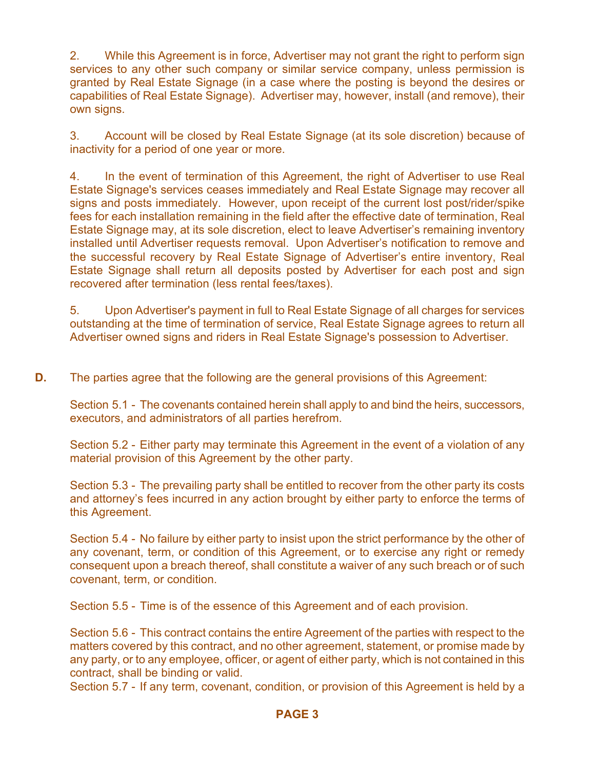2. While this Agreement is in force, Advertiser may not grant the right to perform sign services to any other such company or similar service company, unless permission is granted by Real Estate Signage (in a case where the posting is beyond the desires or capabilities of Real Estate Signage). Advertiser may, however, install (and remove), their own signs.

3. Account will be closed by Real Estate Signage (at its sole discretion) because of inactivity for a period of one year or more.

4. In the event of termination of this Agreement, the right of Advertiser to use Real Estate Signage's services ceases immediately and Real Estate Signage may recover all signs and posts immediately. However, upon receipt of the current lost post/rider/spike fees for each installation remaining in the field after the effective date of termination, Real Estate Signage may, at its sole discretion, elect to leave Advertiser's remaining inventory installed until Advertiser requests removal. Upon Advertiser's notification to remove and the successful recovery by Real Estate Signage of Advertiser's entire inventory, Real Estate Signage shall return all deposits posted by Advertiser for each post and sign recovered after termination (less rental fees/taxes).

5. Upon Advertiser's payment in full to Real Estate Signage of all charges for services outstanding at the time of termination of service, Real Estate Signage agrees to return all Advertiser owned signs and riders in Real Estate Signage's possession to Advertiser.

**D.** The parties agree that the following are the general provisions of this Agreement:

Section 5.1 - The covenants contained herein shall apply to and bind the heirs, successors, executors, and administrators of all parties herefrom.

Section 5.2 - Either party may terminate this Agreement in the event of a violation of any material provision of this Agreement by the other party.

Section 5.3 - The prevailing party shall be entitled to recover from the other party its costs and attorney's fees incurred in any action brought by either party to enforce the terms of this Agreement.

Section 5.4 - No failure by either party to insist upon the strict performance by the other of any covenant, term, or condition of this Agreement, or to exercise any right or remedy consequent upon a breach thereof, shall constitute a waiver of any such breach or of such covenant, term, or condition.

Section 5.5 - Time is of the essence of this Agreement and of each provision.

Section 5.6 - This contract contains the entire Agreement of the parties with respect to the matters covered by this contract, and no other agreement, statement, or promise made by any party, or to any employee, officer, or agent of either party, which is not contained in this contract, shall be binding or valid.

Section 5.7 - If any term, covenant, condition, or provision of this Agreement is held by a

## **PAGE 3**